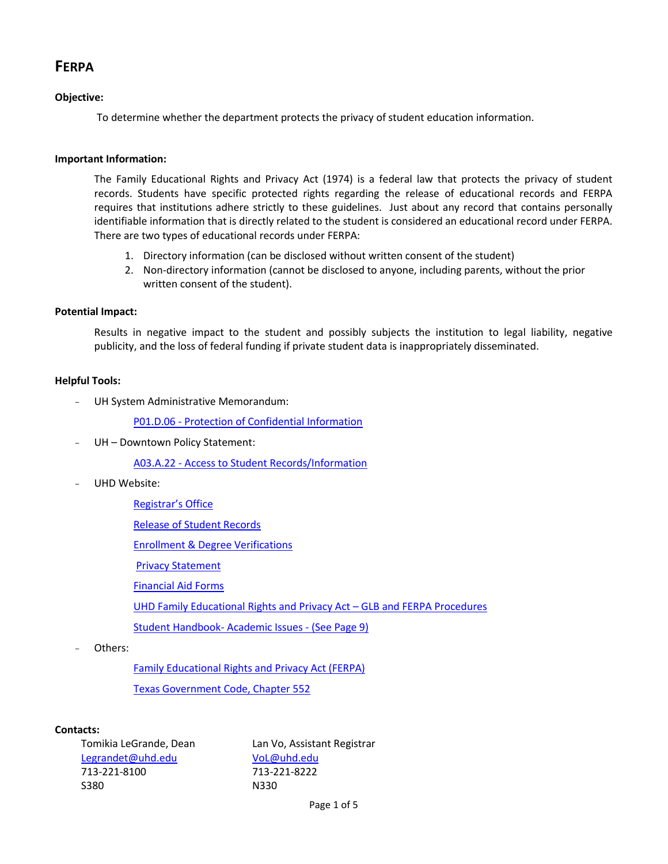# **FERPA**

## **Objective:**

To determine whether the department protects the privacy of student education information.

#### **Important Information:**

The Family Educational Rights and Privacy Act (1974) is a federal law that protects the privacy of student records. Students have specific protected rights regarding the release of educational records and FERPA requires that institutions adhere strictly to these guidelines. Just about any record that contains personally identifiable information that is directly related to the student is considered an educational record under FERPA. There are two types of educational records under FERPA:

- 1. Directory information (can be disclosed without written consent of the student)
- 2. Non-directory information (cannot be disclosed to anyone, including parents, without the prior written consent of the student).

#### **Potential Impact:**

Results in negative impact to the student and possibly subjects the institution to legal liability, negative publicity, and the loss of federal funding if private student data is inappropriately disseminated.

### **Helpful Tools:**

UH System Administrative Memorandum:

P01.D.06 - [Protection of Confidential Information](http://www.uhsa.uh.edu/sam/1GenAdmin/1D6.pdf)

UH - Downtown Policy Statement:

A03.A.22 - [Access to Student Records/Information](http://www.uhd.edu/about/hr/PS03A22.pdf)

UHD Website:

[Registrar](http://www.uhd.edu/registrar/)'s Office

[Release of Student Records](http://www.uhd.edu/registrar/records.html)

**[Enrollment & Degree Verifications](http://www.uhd.edu/registrar/verifications.html)** 

[Privacy Statement](http://www.uhd.edu/policies/privacy.html)

[Financial Aid Forms](http://www.uhd.edu/financial/forms.html)

[UHD Family](http://www.uhd.edu/facultyandstaff/busaff/documents/UHDFamilyEducationalRightsandPrivacyAct-GLBandFERPAProcedures_000.pdf) Educational Rights and Privacy Act – GLB and FERPA Procedures

[Student Handbook-](http://www.uhd.edu/campus/handbook) Academic Issues - (See Page 9)

Others:

[Family Educational Rights and Privacy Act \(FERPA\)](http://www.ed.gov/policy/gen/guid/fpco/ferpa/index.html)

[Texas Government Code, Chapter 552](http://www.statutes.legis.state.tx.us/Docs/GV/htm/GV.552.htm)

#### **Contacts:**

Tomikia LeGrande, Dean [Legrandet@uhd.edu](mailto:Legrandet@uhd.edu) 713-221-8100 S380

Lan Vo, Assistant Registrar [VoL@uhd.edu](mailto:VoL@uhd.edu) 713-221-8222 N330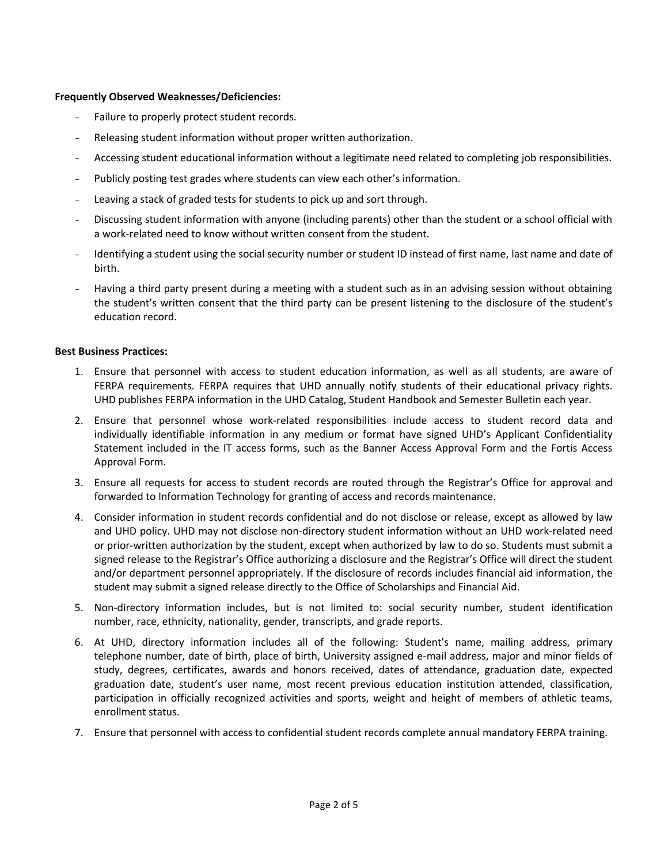#### **Frequently Observed Weaknesses/Deficiencies:**

- Failure to properly protect student records.
- Releasing student information without proper written authorization.
- Accessing student educational information without a legitimate need related to completing job responsibilities.
- Publicly posting test grades where students can view each other's information.
- Leaving a stack of graded tests for students to pick up and sort through.
- Discussing student information with anyone (including parents) other than the student or a school official with a work-related need to know without written consent from the student.
- Identifying a student using the social security number or student ID instead of first name, last name and date of birth.
- Having a third party present during a meeting with a student such as in an advising session without obtaining the student's written consent that the third party can be present listening to the disclosure of the student's education record.

### **Best Business Practices:**

- 1. Ensure that personnel with access to student education information, as well as all students, are aware of FERPA requirements. FERPA requires that UHD annually notify students of their educational privacy rights. UHD publishes FERPA information in the UHD Catalog, Student Handbook and Semester Bulletin each year.
- 2. Ensure that personnel whose work-related responsibilities include access to student record data and individually identifiable information in any medium or format have signed UHD's Applicant Confidentiality Statement included in the IT access forms, such as the Banner Access Approval Form and the Fortis Access Approval Form.
- 3. Ensure all requests for access to student records are routed through the Registrar's Office for approval and forwarded to Information Technology for granting of access and records maintenance.
- 4. Consider information in student records confidential and do not disclose or release, except as allowed by law and UHD policy. UHD may not disclose non-directory student information without an UHD work-related need or prior-written authorization by the student, except when authorized by law to do so. Students must submit a signed release to the Registrar's Office authorizing a disclosure and the Registrar's Office will direct the student and/or department personnel appropriately. If the disclosure of records includes financial aid information, the student may submit a signed release directly to the Office of Scholarships and Financial Aid.
- 5. Non-directory information includes, but is not limited to: social security number, student identification number, race, ethnicity, nationality, gender, transcripts, and grade reports.
- 6. At UHD, directory information includes all of the following: Student's name, mailing address, primary telephone number, date of birth, place of birth, University assigned e-mail address, major and minor fields of study, degrees, certificates, awards and honors received, dates of attendance, graduation date, expected graduation date, student's user name, most recent previous education institution attended, classification, participation in officially recognized activities and sports, weight and height of members of athletic teams, enrollment status.
- 7. Ensure that personnel with access to confidential student records complete annual mandatory FERPA training.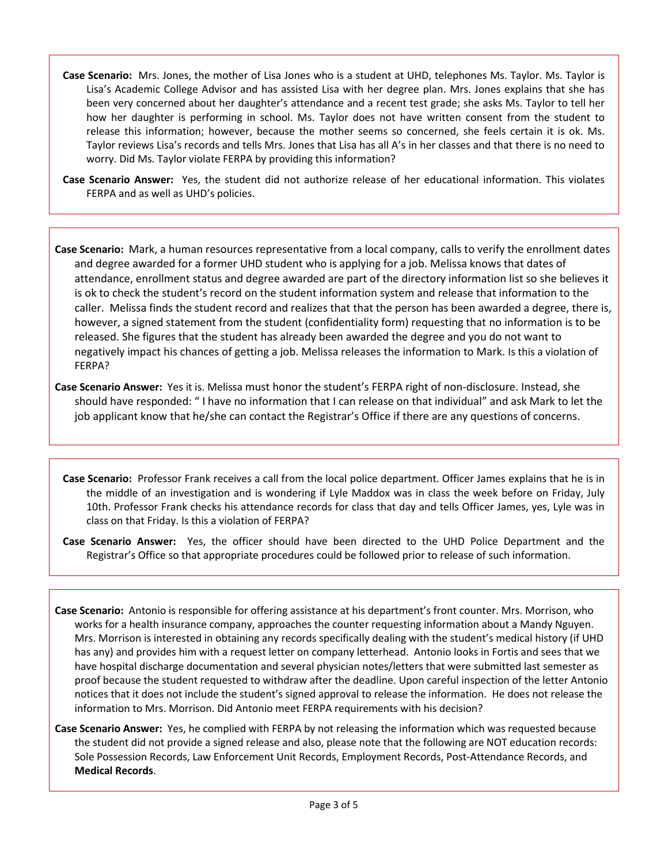**Case Scenario:** Mrs. Jones, the mother of Lisa Jones who is a student at UHD, telephones Ms. Taylor. Ms. Taylor is Lisa's Academic College Advisor and has assisted Lisa with her degree plan. Mrs. Jones explains that she has been very concerned about her daughter's attendance and a recent test grade; she asks Ms. Taylor to tell her how her daughter is performing in school. Ms. Taylor does not have written consent from the student to release this information; however, because the mother seems so concerned, she feels certain it is ok. Ms. Taylor reviews Lisa's records and tells Mrs. Jones that Lisa has all A's in her classes and that there is no need to worry. Did Ms. Taylor violate FERPA by providing this information?

**Case Scenario Answer:** Yes, the student did not authorize release of her educational information. This violates FERPA and as well as UHD's policies.

**Case Scenario:** Mark, a human resources representative from a local company, calls to verify the enrollment dates and degree awarded for a former UHD student who is applying for a job. Melissa knows that dates of attendance, enrollment status and degree awarded are part of the directory information list so she believes it is ok to check the student's record on the student information system and release that information to the caller. Melissa finds the student record and realizes that that the person has been awarded a degree, there is, however, a signed statement from the student (confidentiality form) requesting that no information is to be released. She figures that the student has already been awarded the degree and you do not want to negatively impact his chances of getting a job. Melissa releases the information to Mark. Is this a violation of FERPA?

**Case Scenario Answer:** Yes it is. Melissa must honor the student's FERPA right of non-disclosure. Instead, she should have responded: " I have no information that I can release on that individual" and ask Mark to let the job applicant know that he/she can contact the Registrar's Office if there are any questions of concerns.

**Case Scenario:** Professor Frank receives a call from the local police department. Officer James explains that he is in the middle of an investigation and is wondering if Lyle Maddox was in class the week before on Friday, July 10th. Professor Frank checks his attendance records for class that day and tells Officer James, yes, Lyle was in class on that Friday. Is this a violation of FERPA?

**Case Scenario Answer:** Yes, the officer should have been directed to the UHD Police Department and the Registrar's Office so that appropriate procedures could be followed prior to release of such information.

**Case Scenario:** Antonio is responsible for offering assistance at his department's front counter. Mrs. Morrison, who works for a health insurance company, approaches the counter requesting information about a Mandy Nguyen. Mrs. Morrison is interested in obtaining any records specifically dealing with the student's medical history (if UHD has any) and provides him with a request letter on company letterhead. Antonio looks in Fortis and sees that we have hospital discharge documentation and several physician notes/letters that were submitted last semester as proof because the student requested to withdraw after the deadline. Upon careful inspection of the letter Antonio notices that it does not include the student's signed approval to release the information. He does not release the information to Mrs. Morrison. Did Antonio meet FERPA requirements with his decision?

**Case Scenario Answer:** Yes, he complied with FERPA by not releasing the information which was requested because the student did not provide a signed release and also, please note that the following are NOT education records: Sole Possession Records, Law Enforcement Unit Records, Employment Records, Post-Attendance Records, and **Medical Records**.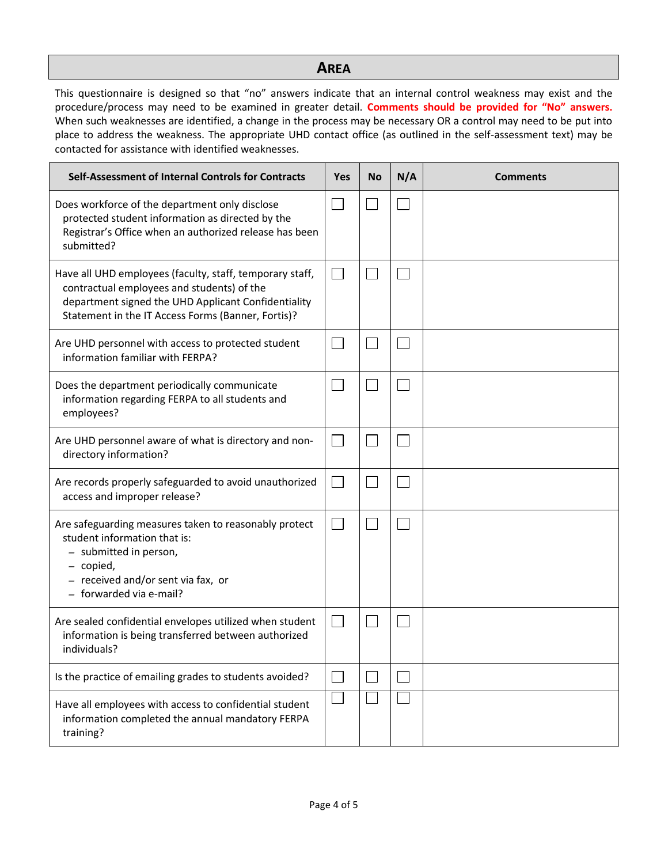# **AREA**

This questionnaire is designed so that "no" answers indicate that an internal control weakness may exist and the procedure/process may need to be examined in greater detail. **Comments should be provided for "No" answers.**  When such weaknesses are identified, a change in the process may be necessary OR a control may need to be put into place to address the weakness. The appropriate UHD contact office (as outlined in the self-assessment text) may be contacted for assistance with identified weaknesses.

| Self-Assessment of Internal Controls for Contracts                                                                                                                                                                  | <b>Yes</b> | <b>No</b> | N/A | <b>Comments</b> |
|---------------------------------------------------------------------------------------------------------------------------------------------------------------------------------------------------------------------|------------|-----------|-----|-----------------|
| Does workforce of the department only disclose<br>protected student information as directed by the<br>Registrar's Office when an authorized release has been<br>submitted?                                          |            |           |     |                 |
| Have all UHD employees (faculty, staff, temporary staff,<br>contractual employees and students) of the<br>department signed the UHD Applicant Confidentiality<br>Statement in the IT Access Forms (Banner, Fortis)? |            |           |     |                 |
| Are UHD personnel with access to protected student<br>information familiar with FERPA?                                                                                                                              |            |           |     |                 |
| Does the department periodically communicate<br>information regarding FERPA to all students and<br>employees?                                                                                                       |            |           |     |                 |
| Are UHD personnel aware of what is directory and non-<br>directory information?                                                                                                                                     |            |           |     |                 |
| Are records properly safeguarded to avoid unauthorized<br>access and improper release?                                                                                                                              |            |           |     |                 |
| Are safeguarding measures taken to reasonably protect<br>student information that is:<br>- submitted in person,<br>- copied,<br>- received and/or sent via fax, or<br>- forwarded via e-mail?                       |            |           |     |                 |
| Are sealed confidential envelopes utilized when student<br>information is being transferred between authorized<br>individuals?                                                                                      |            |           |     |                 |
| Is the practice of emailing grades to students avoided?                                                                                                                                                             |            |           |     |                 |
| Have all employees with access to confidential student<br>information completed the annual mandatory FERPA<br>training?                                                                                             |            |           |     |                 |